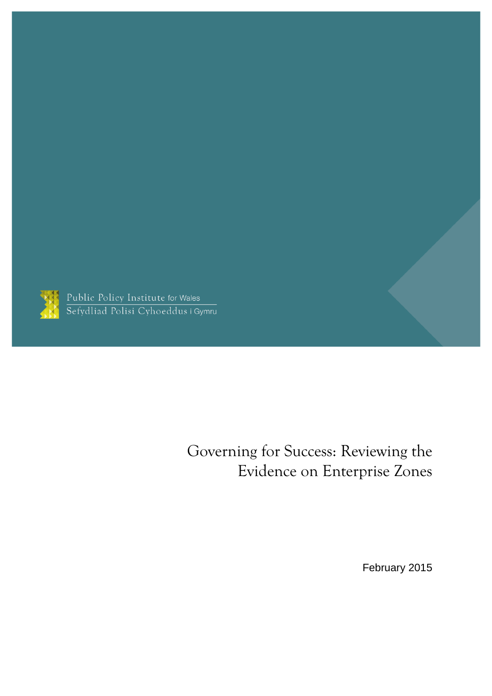

Public Policy Institute for Wales<br>Sefydliad Polisi Cyhoeddus i Gymru

## Governing for Success: Reviewing the Evidence on Enterprise Zones

February 2015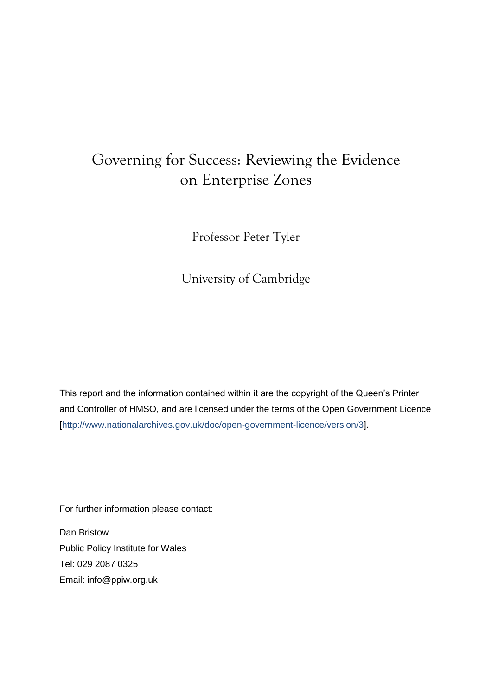## Governing for Success: Reviewing the Evidence on Enterprise Zones

Professor Peter Tyler

University of Cambridge

This report and the information contained within it are the copyright of the Queen's Printer and Controller of HMSO, and are licensed under the terms of the Open Government Licence [\[http://www.nationalarchives.gov.uk/doc/open-government-licence/version/3\]](http://www.nationalarchives.gov.uk/doc/open-government-licence/version/3).

For further information please contact:

Dan Bristow Public Policy Institute for Wales Tel: 029 2087 0325 Email: [info@ppiw.org.uk](mailto:info@ppiw.org.uk)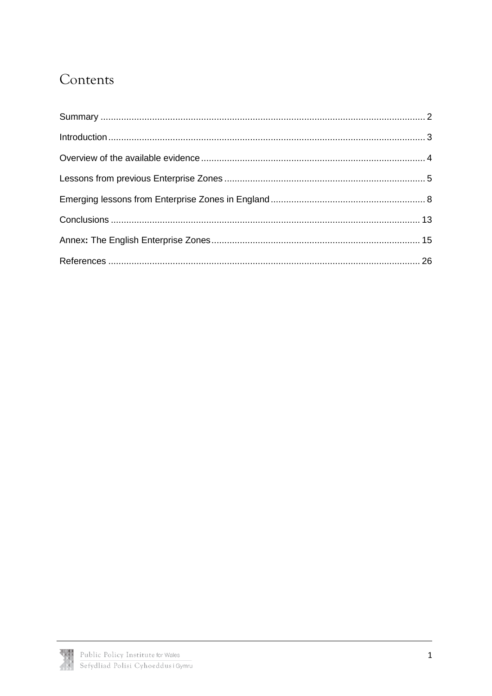## Contents

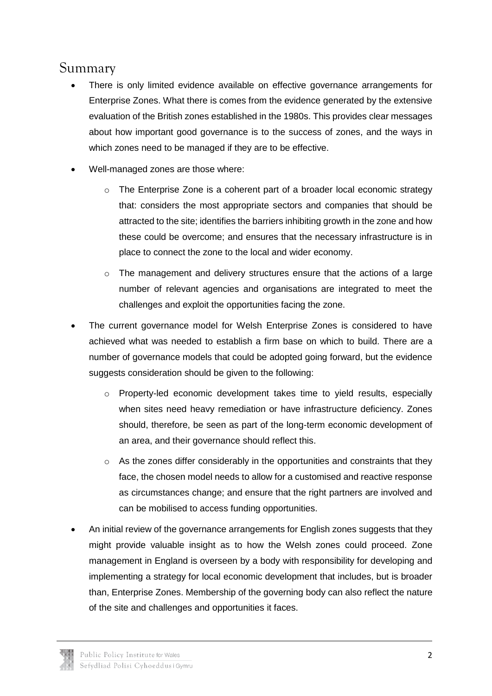#### <span id="page-3-0"></span>Summary

- There is only limited evidence available on effective governance arrangements for Enterprise Zones. What there is comes from the evidence generated by the extensive evaluation of the British zones established in the 1980s. This provides clear messages about how important good governance is to the success of zones, and the ways in which zones need to be managed if they are to be effective.
- Well-managed zones are those where:
	- o The Enterprise Zone is a coherent part of a broader local economic strategy that: considers the most appropriate sectors and companies that should be attracted to the site; identifies the barriers inhibiting growth in the zone and how these could be overcome; and ensures that the necessary infrastructure is in place to connect the zone to the local and wider economy.
	- $\circ$  The management and delivery structures ensure that the actions of a large number of relevant agencies and organisations are integrated to meet the challenges and exploit the opportunities facing the zone.
- The current governance model for Welsh Enterprise Zones is considered to have achieved what was needed to establish a firm base on which to build. There are a number of governance models that could be adopted going forward, but the evidence suggests consideration should be given to the following:
	- o Property-led economic development takes time to yield results, especially when sites need heavy remediation or have infrastructure deficiency. Zones should, therefore, be seen as part of the long-term economic development of an area, and their governance should reflect this.
	- o As the zones differ considerably in the opportunities and constraints that they face, the chosen model needs to allow for a customised and reactive response as circumstances change; and ensure that the right partners are involved and can be mobilised to access funding opportunities.
- An initial review of the governance arrangements for English zones suggests that they might provide valuable insight as to how the Welsh zones could proceed. Zone management in England is overseen by a body with responsibility for developing and implementing a strategy for local economic development that includes, but is broader than, Enterprise Zones. Membership of the governing body can also reflect the nature of the site and challenges and opportunities it faces.

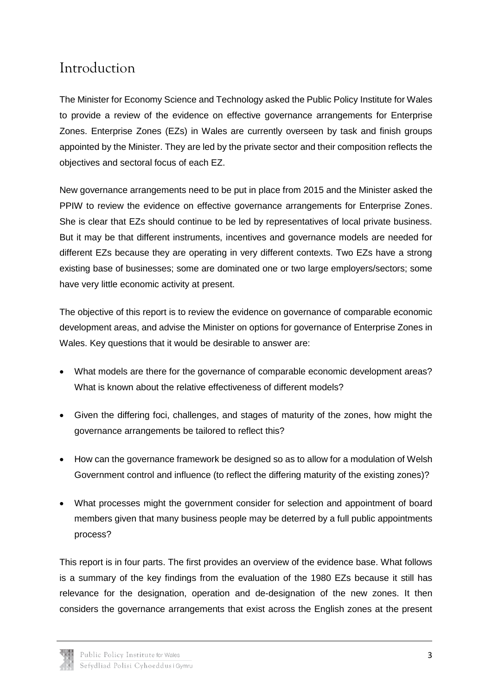#### <span id="page-4-0"></span>Introduction

The Minister for Economy Science and Technology asked the Public Policy Institute for Wales to provide a review of the evidence on effective governance arrangements for Enterprise Zones. Enterprise Zones (EZs) in Wales are currently overseen by task and finish groups appointed by the Minister. They are led by the private sector and their composition reflects the objectives and sectoral focus of each EZ.

New governance arrangements need to be put in place from 2015 and the Minister asked the PPIW to review the evidence on effective governance arrangements for Enterprise Zones. She is clear that EZs should continue to be led by representatives of local private business. But it may be that different instruments, incentives and governance models are needed for different EZs because they are operating in very different contexts. Two EZs have a strong existing base of businesses; some are dominated one or two large employers/sectors; some have very little economic activity at present.

The objective of this report is to review the evidence on governance of comparable economic development areas, and advise the Minister on options for governance of Enterprise Zones in Wales. Key questions that it would be desirable to answer are:

- What models are there for the governance of comparable economic development areas? What is known about the relative effectiveness of different models?
- Given the differing foci, challenges, and stages of maturity of the zones, how might the governance arrangements be tailored to reflect this?
- How can the governance framework be designed so as to allow for a modulation of Welsh Government control and influence (to reflect the differing maturity of the existing zones)?
- What processes might the government consider for selection and appointment of board members given that many business people may be deterred by a full public appointments process?

This report is in four parts. The first provides an overview of the evidence base. What follows is a summary of the key findings from the evaluation of the 1980 EZs because it still has relevance for the designation, operation and de-designation of the new zones. It then considers the governance arrangements that exist across the English zones at the present

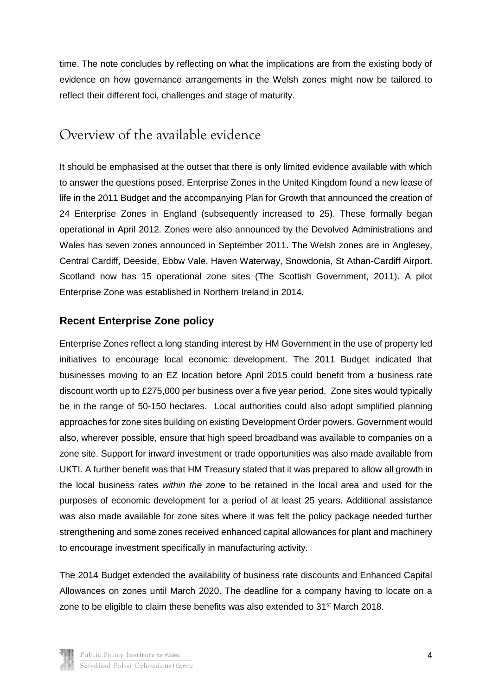time. The note concludes by reflecting on what the implications are from the existing body of evidence on how governance arrangements in the Welsh zones might now be tailored to reflect their different foci, challenges and stage of maturity.

#### <span id="page-5-0"></span>Overview of the available evidence

It should be emphasised at the outset that there is only limited evidence available with which to answer the questions posed. Enterprise Zones in the United Kingdom found a new lease of life in the 2011 Budget and the accompanying Plan for Growth that announced the creation of 24 Enterprise Zones in England (subsequently increased to 25). These formally began operational in April 2012. Zones were also announced by the Devolved Administrations and Wales has seven zones announced in September 2011. The Welsh zones are in Anglesey, Central Cardiff, Deeside, Ebbw Vale, Haven Waterway, Snowdonia, St Athan-Cardiff Airport. Scotland now has 15 operational zone sites (The Scottish Government, 2011). A pilot Enterprise Zone was established in Northern Ireland in 2014.

#### **Recent Enterprise Zone policy**

Enterprise Zones reflect a long standing interest by HM Government in the use of property led initiatives to encourage local economic development. The 2011 Budget indicated that businesses moving to an EZ location before April 2015 could benefit from a business rate discount worth up to £275,000 per business over a five year period. Zone sites would typically be in the range of 50-150 hectares. Local authorities could also adopt simplified planning approaches for zone sites building on existing Development Order powers. Government would also, wherever possible, ensure that high speed broadband was available to companies on a zone site. Support for inward investment or trade opportunities was also made available from UKTI. A further benefit was that HM Treasury stated that it was prepared to allow all growth in the local business rates *within the zone* to be retained in the local area and used for the purposes of economic development for a period of at least 25 years. Additional assistance was also made available for zone sites where it was felt the policy package needed further strengthening and some zones received enhanced capital allowances for plant and machinery to encourage investment specifically in manufacturing activity.

The 2014 Budget extended the availability of business rate discounts and Enhanced Capital Allowances on zones until March 2020. The deadline for a company having to locate on a zone to be eligible to claim these benefits was also extended to 31<sup>st</sup> March 2018.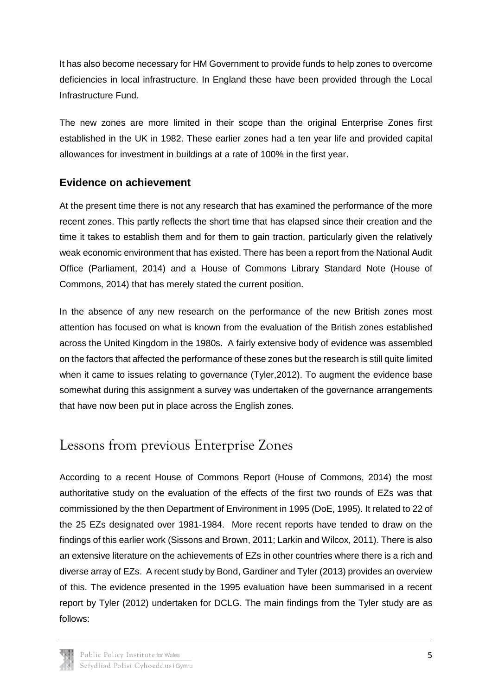It has also become necessary for HM Government to provide funds to help zones to overcome deficiencies in local infrastructure. In England these have been provided through the Local Infrastructure Fund.

The new zones are more limited in their scope than the original Enterprise Zones first established in the UK in 1982. These earlier zones had a ten year life and provided capital allowances for investment in buildings at a rate of 100% in the first year.

#### **Evidence on achievement**

At the present time there is not any research that has examined the performance of the more recent zones. This partly reflects the short time that has elapsed since their creation and the time it takes to establish them and for them to gain traction, particularly given the relatively weak economic environment that has existed. There has been a report from the National Audit Office (Parliament, 2014) and a House of Commons Library Standard Note (House of Commons, 2014) that has merely stated the current position.

In the absence of any new research on the performance of the new British zones most attention has focused on what is known from the evaluation of the British zones established across the United Kingdom in the 1980s. A fairly extensive body of evidence was assembled on the factors that affected the performance of these zones but the research is still quite limited when it came to issues relating to governance (Tyler,2012). To augment the evidence base somewhat during this assignment a survey was undertaken of the governance arrangements that have now been put in place across the English zones.

### <span id="page-6-0"></span>Lessons from previous Enterprise Zones

According to a recent House of Commons Report (House of Commons, 2014) the most authoritative study on the evaluation of the effects of the first two rounds of EZs was that commissioned by the then Department of Environment in 1995 (DoE, 1995). It related to 22 of the 25 EZs designated over 1981-1984. More recent reports have tended to draw on the findings of this earlier work (Sissons and Brown, 2011; Larkin and Wilcox, 2011). There is also an extensive literature on the achievements of EZs in other countries where there is a rich and diverse array of EZs. A recent study by Bond, Gardiner and Tyler (2013) provides an overview of this. The evidence presented in the 1995 evaluation have been summarised in a recent report by Tyler (2012) undertaken for DCLG. The main findings from the Tyler study are as follows:

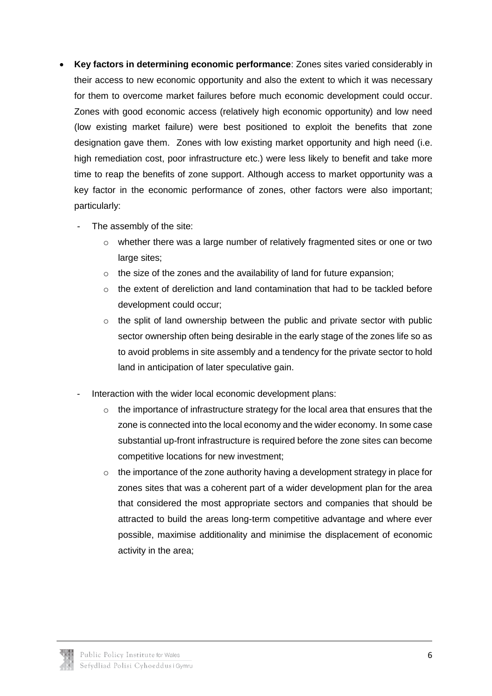- **Key factors in determining economic performance**: Zones sites varied considerably in their access to new economic opportunity and also the extent to which it was necessary for them to overcome market failures before much economic development could occur. Zones with good economic access (relatively high economic opportunity) and low need (low existing market failure) were best positioned to exploit the benefits that zone designation gave them. Zones with low existing market opportunity and high need (i.e. high remediation cost, poor infrastructure etc.) were less likely to benefit and take more time to reap the benefits of zone support. Although access to market opportunity was a key factor in the economic performance of zones, other factors were also important; particularly:
	- The assembly of the site:
		- $\circ$  whether there was a large number of relatively fragmented sites or one or two large sites;
		- $\circ$  the size of the zones and the availability of land for future expansion;
		- $\circ$  the extent of dereliction and land contamination that had to be tackled before development could occur;
		- o the split of land ownership between the public and private sector with public sector ownership often being desirable in the early stage of the zones life so as to avoid problems in site assembly and a tendency for the private sector to hold land in anticipation of later speculative gain.
	- Interaction with the wider local economic development plans:
		- $\circ$  the importance of infrastructure strategy for the local area that ensures that the zone is connected into the local economy and the wider economy. In some case substantial up-front infrastructure is required before the zone sites can become competitive locations for new investment;
		- $\circ$  the importance of the zone authority having a development strategy in place for zones sites that was a coherent part of a wider development plan for the area that considered the most appropriate sectors and companies that should be attracted to build the areas long-term competitive advantage and where ever possible, maximise additionality and minimise the displacement of economic activity in the area;

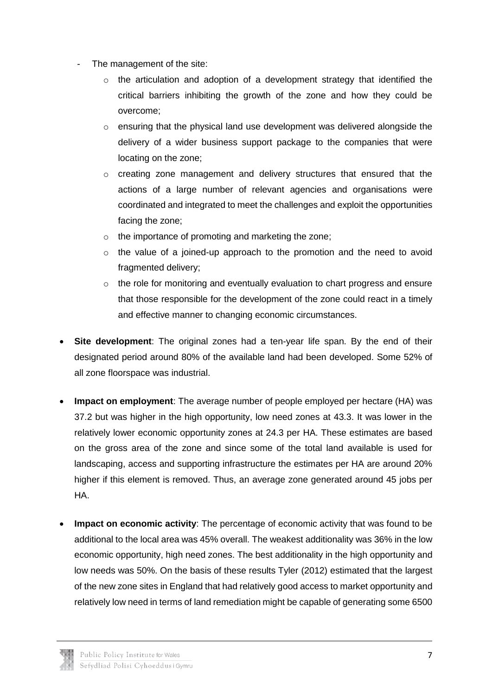- The management of the site:
	- $\circ$  the articulation and adoption of a development strategy that identified the critical barriers inhibiting the growth of the zone and how they could be overcome;
	- o ensuring that the physical land use development was delivered alongside the delivery of a wider business support package to the companies that were locating on the zone;
	- o creating zone management and delivery structures that ensured that the actions of a large number of relevant agencies and organisations were coordinated and integrated to meet the challenges and exploit the opportunities facing the zone;
	- o the importance of promoting and marketing the zone;
	- o the value of a joined-up approach to the promotion and the need to avoid fragmented delivery;
	- $\circ$  the role for monitoring and eventually evaluation to chart progress and ensure that those responsible for the development of the zone could react in a timely and effective manner to changing economic circumstances.
- **Site development**: The original zones had a ten-year life span. By the end of their designated period around 80% of the available land had been developed. Some 52% of all zone floorspace was industrial.
- **Impact on employment**: The average number of people employed per hectare (HA) was 37.2 but was higher in the high opportunity, low need zones at 43.3. It was lower in the relatively lower economic opportunity zones at 24.3 per HA. These estimates are based on the gross area of the zone and since some of the total land available is used for landscaping, access and supporting infrastructure the estimates per HA are around 20% higher if this element is removed. Thus, an average zone generated around 45 jobs per HA.
- **Impact on economic activity**: The percentage of economic activity that was found to be additional to the local area was 45% overall. The weakest additionality was 36% in the low economic opportunity, high need zones. The best additionality in the high opportunity and low needs was 50%. On the basis of these results Tyler (2012) estimated that the largest of the new zone sites in England that had relatively good access to market opportunity and relatively low need in terms of land remediation might be capable of generating some 6500

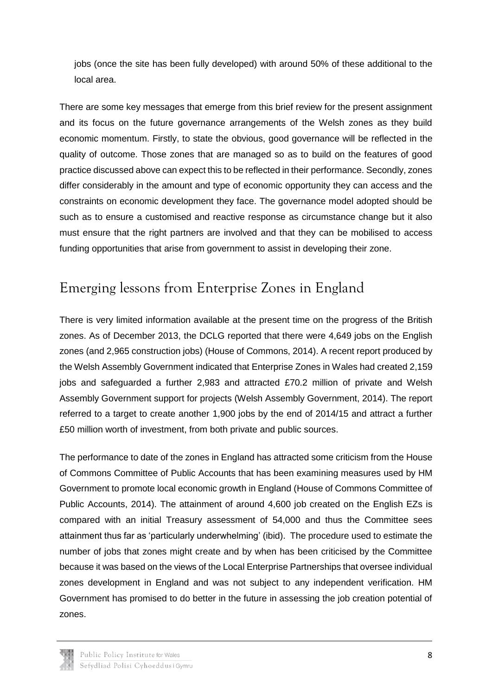jobs (once the site has been fully developed) with around 50% of these additional to the local area.

There are some key messages that emerge from this brief review for the present assignment and its focus on the future governance arrangements of the Welsh zones as they build economic momentum. Firstly, to state the obvious, good governance will be reflected in the quality of outcome. Those zones that are managed so as to build on the features of good practice discussed above can expect this to be reflected in their performance. Secondly, zones differ considerably in the amount and type of economic opportunity they can access and the constraints on economic development they face. The governance model adopted should be such as to ensure a customised and reactive response as circumstance change but it also must ensure that the right partners are involved and that they can be mobilised to access funding opportunities that arise from government to assist in developing their zone.

#### <span id="page-9-0"></span>Emerging lessons from Enterprise Zones in England

There is very limited information available at the present time on the progress of the British zones. As of December 2013, the DCLG reported that there were 4,649 jobs on the English zones (and 2,965 construction jobs) (House of Commons, 2014). A recent report produced by the Welsh Assembly Government indicated that Enterprise Zones in Wales had created 2,159 jobs and safeguarded a further 2,983 and attracted £70.2 million of private and Welsh Assembly Government support for projects (Welsh Assembly Government, 2014). The report referred to a target to create another 1,900 jobs by the end of 2014/15 and attract a further £50 million worth of investment, from both private and public sources.

The performance to date of the zones in England has attracted some criticism from the House of Commons Committee of Public Accounts that has been examining measures used by HM Government to promote local economic growth in England (House of Commons Committee of Public Accounts, 2014). The attainment of around 4,600 job created on the English EZs is compared with an initial Treasury assessment of 54,000 and thus the Committee sees attainment thus far as 'particularly underwhelming' (ibid). The procedure used to estimate the number of jobs that zones might create and by when has been criticised by the Committee because it was based on the views of the Local Enterprise Partnerships that oversee individual zones development in England and was not subject to any independent verification. HM Government has promised to do better in the future in assessing the job creation potential of zones.

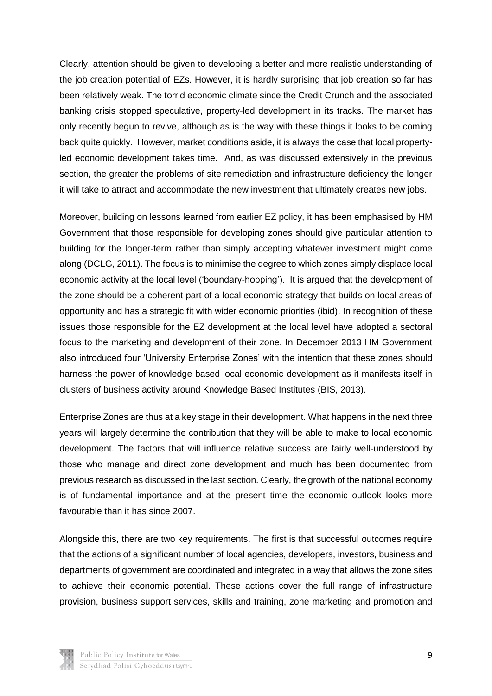Clearly, attention should be given to developing a better and more realistic understanding of the job creation potential of EZs. However, it is hardly surprising that job creation so far has been relatively weak. The torrid economic climate since the Credit Crunch and the associated banking crisis stopped speculative, property-led development in its tracks. The market has only recently begun to revive, although as is the way with these things it looks to be coming back quite quickly. However, market conditions aside, it is always the case that local propertyled economic development takes time. And, as was discussed extensively in the previous section, the greater the problems of site remediation and infrastructure deficiency the longer it will take to attract and accommodate the new investment that ultimately creates new jobs.

Moreover, building on lessons learned from earlier EZ policy, it has been emphasised by HM Government that those responsible for developing zones should give particular attention to building for the longer-term rather than simply accepting whatever investment might come along (DCLG, 2011). The focus is to minimise the degree to which zones simply displace local economic activity at the local level ('boundary-hopping'). It is argued that the development of the zone should be a coherent part of a local economic strategy that builds on local areas of opportunity and has a strategic fit with wider economic priorities (ibid). In recognition of these issues those responsible for the EZ development at the local level have adopted a sectoral focus to the marketing and development of their zone. In December 2013 HM Government also introduced four 'University Enterprise Zones' with the intention that these zones should harness the power of knowledge based local economic development as it manifests itself in clusters of business activity around Knowledge Based Institutes (BIS, 2013).

Enterprise Zones are thus at a key stage in their development. What happens in the next three years will largely determine the contribution that they will be able to make to local economic development. The factors that will influence relative success are fairly well-understood by those who manage and direct zone development and much has been documented from previous research as discussed in the last section. Clearly, the growth of the national economy is of fundamental importance and at the present time the economic outlook looks more favourable than it has since 2007.

Alongside this, there are two key requirements. The first is that successful outcomes require that the actions of a significant number of local agencies, developers, investors, business and departments of government are coordinated and integrated in a way that allows the zone sites to achieve their economic potential. These actions cover the full range of infrastructure provision, business support services, skills and training, zone marketing and promotion and

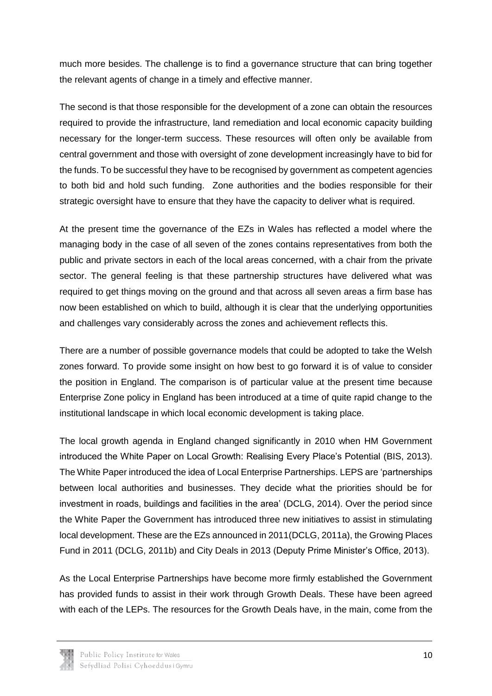much more besides. The challenge is to find a governance structure that can bring together the relevant agents of change in a timely and effective manner.

The second is that those responsible for the development of a zone can obtain the resources required to provide the infrastructure, land remediation and local economic capacity building necessary for the longer-term success. These resources will often only be available from central government and those with oversight of zone development increasingly have to bid for the funds. To be successful they have to be recognised by government as competent agencies to both bid and hold such funding. Zone authorities and the bodies responsible for their strategic oversight have to ensure that they have the capacity to deliver what is required.

At the present time the governance of the EZs in Wales has reflected a model where the managing body in the case of all seven of the zones contains representatives from both the public and private sectors in each of the local areas concerned, with a chair from the private sector. The general feeling is that these partnership structures have delivered what was required to get things moving on the ground and that across all seven areas a firm base has now been established on which to build, although it is clear that the underlying opportunities and challenges vary considerably across the zones and achievement reflects this.

There are a number of possible governance models that could be adopted to take the Welsh zones forward. To provide some insight on how best to go forward it is of value to consider the position in England. The comparison is of particular value at the present time because Enterprise Zone policy in England has been introduced at a time of quite rapid change to the institutional landscape in which local economic development is taking place.

The local growth agenda in England changed significantly in 2010 when HM Government introduced the White Paper on Local Growth: Realising Every Place's Potential (BIS, 2013). The White Paper introduced the idea of Local Enterprise Partnerships. LEPS are 'partnerships between local authorities and businesses. They decide what the priorities should be for investment in roads, buildings and facilities in the area' (DCLG, 2014). Over the period since the White Paper the Government has introduced three new initiatives to assist in stimulating local development. These are the EZs announced in 2011(DCLG, 2011a), the Growing Places Fund in 2011 (DCLG, 2011b) and City Deals in 2013 (Deputy Prime Minister's Office, 2013).

As the Local Enterprise Partnerships have become more firmly established the Government has provided funds to assist in their work through Growth Deals. These have been agreed with each of the LEPs. The resources for the Growth Deals have, in the main, come from the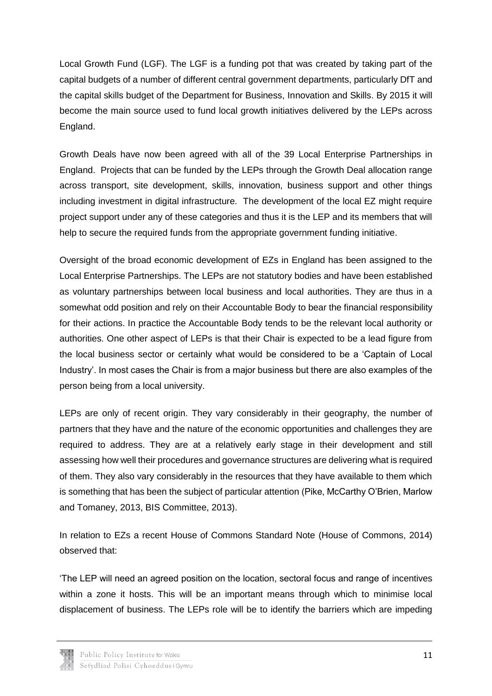Local Growth Fund (LGF). The LGF is a funding pot that was created by taking part of the capital budgets of a number of different central government departments, particularly DfT and the capital skills budget of the Department for Business, Innovation and Skills. By 2015 it will become the main source used to fund local growth initiatives delivered by the LEPs across England.

Growth Deals have now been agreed with all of the 39 Local Enterprise Partnerships in England. Projects that can be funded by the LEPs through the Growth Deal allocation range across transport, site development, skills, innovation, business support and other things including investment in digital infrastructure. The development of the local EZ might require project support under any of these categories and thus it is the LEP and its members that will help to secure the required funds from the appropriate government funding initiative.

Oversight of the broad economic development of EZs in England has been assigned to the Local Enterprise Partnerships. The LEPs are not statutory bodies and have been established as voluntary partnerships between local business and local authorities. They are thus in a somewhat odd position and rely on their Accountable Body to bear the financial responsibility for their actions. In practice the Accountable Body tends to be the relevant local authority or authorities. One other aspect of LEPs is that their Chair is expected to be a lead figure from the local business sector or certainly what would be considered to be a 'Captain of Local Industry'. In most cases the Chair is from a major business but there are also examples of the person being from a local university.

LEPs are only of recent origin. They vary considerably in their geography, the number of partners that they have and the nature of the economic opportunities and challenges they are required to address. They are at a relatively early stage in their development and still assessing how well their procedures and governance structures are delivering what is required of them. They also vary considerably in the resources that they have available to them which is something that has been the subject of particular attention (Pike, McCarthy O'Brien, Marlow and Tomaney, 2013, BIS Committee, 2013).

In relation to EZs a recent House of Commons Standard Note (House of Commons, 2014) observed that:

'The LEP will need an agreed position on the location, sectoral focus and range of incentives within a zone it hosts. This will be an important means through which to minimise local displacement of business. The LEPs role will be to identify the barriers which are impeding

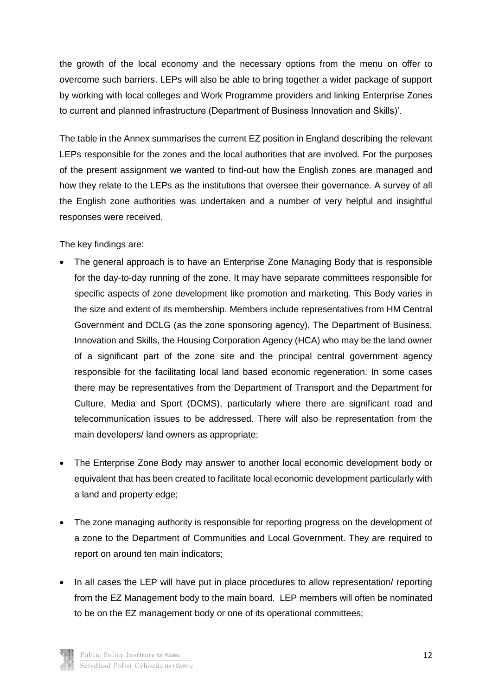the growth of the local economy and the necessary options from the menu on offer to overcome such barriers. LEPs will also be able to bring together a wider package of support by working with local colleges and Work Programme providers and linking Enterprise Zones to current and planned infrastructure (Department of Business Innovation and Skills)'.

The table in the Annex summarises the current EZ position in England describing the relevant LEPs responsible for the zones and the local authorities that are involved. For the purposes of the present assignment we wanted to find-out how the English zones are managed and how they relate to the LEPs as the institutions that oversee their governance. A survey of all the English zone authorities was undertaken and a number of very helpful and insightful responses were received.

The key findings are:

- The general approach is to have an Enterprise Zone Managing Body that is responsible for the day-to-day running of the zone. It may have separate committees responsible for specific aspects of zone development like promotion and marketing. This Body varies in the size and extent of its membership. Members include representatives from HM Central Government and DCLG (as the zone sponsoring agency), The Department of Business, Innovation and Skills, the Housing Corporation Agency (HCA) who may be the land owner of a significant part of the zone site and the principal central government agency responsible for the facilitating local land based economic regeneration. In some cases there may be representatives from the Department of Transport and the Department for Culture, Media and Sport (DCMS), particularly where there are significant road and telecommunication issues to be addressed. There will also be representation from the main developers/ land owners as appropriate;
- The Enterprise Zone Body may answer to another local economic development body or equivalent that has been created to facilitate local economic development particularly with a land and property edge;
- The zone managing authority is responsible for reporting progress on the development of a zone to the Department of Communities and Local Government. They are required to report on around ten main indicators;
- In all cases the LEP will have put in place procedures to allow representation/ reporting from the EZ Management body to the main board. LEP members will often be nominated to be on the EZ management body or one of its operational committees;

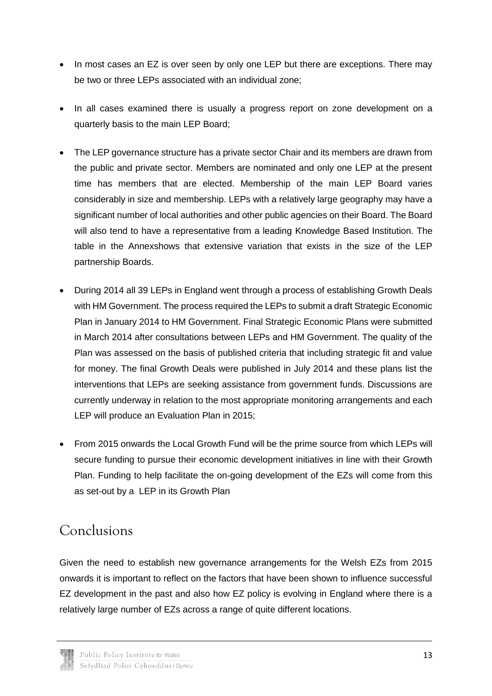- In most cases an EZ is over seen by only one LEP but there are exceptions. There may be two or three LEPs associated with an individual zone;
- In all cases examined there is usually a progress report on zone development on a quarterly basis to the main LEP Board;
- The LEP governance structure has a private sector Chair and its members are drawn from the public and private sector. Members are nominated and only one LEP at the present time has members that are elected. Membership of the main LEP Board varies considerably in size and membership. LEPs with a relatively large geography may have a significant number of local authorities and other public agencies on their Board. The Board will also tend to have a representative from a leading Knowledge Based Institution. The table in the Annexshows that extensive variation that exists in the size of the LEP partnership Boards.
- During 2014 all 39 LEPs in England went through a process of establishing Growth Deals with HM Government. The process required the LEPs to submit a draft Strategic Economic Plan in January 2014 to HM Government. Final Strategic Economic Plans were submitted in March 2014 after consultations between LEPs and HM Government. The quality of the Plan was assessed on the basis of published criteria that including strategic fit and value for money. The final Growth Deals were published in July 2014 and these plans list the interventions that LEPs are seeking assistance from government funds. Discussions are currently underway in relation to the most appropriate monitoring arrangements and each LEP will produce an Evaluation Plan in 2015;
- From 2015 onwards the Local Growth Fund will be the prime source from which LEPs will secure funding to pursue their economic development initiatives in line with their Growth Plan. Funding to help facilitate the on-going development of the EZs will come from this as set-out by a LEP in its Growth Plan

## <span id="page-14-0"></span>Conclusions

Given the need to establish new governance arrangements for the Welsh EZs from 2015 onwards it is important to reflect on the factors that have been shown to influence successful EZ development in the past and also how EZ policy is evolving in England where there is a relatively large number of EZs across a range of quite different locations.

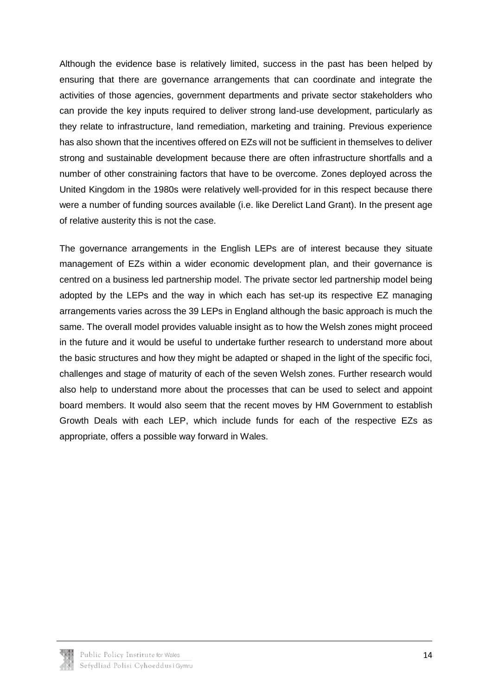Although the evidence base is relatively limited, success in the past has been helped by ensuring that there are governance arrangements that can coordinate and integrate the activities of those agencies, government departments and private sector stakeholders who can provide the key inputs required to deliver strong land-use development, particularly as they relate to infrastructure, land remediation, marketing and training. Previous experience has also shown that the incentives offered on EZs will not be sufficient in themselves to deliver strong and sustainable development because there are often infrastructure shortfalls and a number of other constraining factors that have to be overcome. Zones deployed across the United Kingdom in the 1980s were relatively well-provided for in this respect because there were a number of funding sources available (i.e. like Derelict Land Grant). In the present age of relative austerity this is not the case.

The governance arrangements in the English LEPs are of interest because they situate management of EZs within a wider economic development plan, and their governance is centred on a business led partnership model. The private sector led partnership model being adopted by the LEPs and the way in which each has set-up its respective EZ managing arrangements varies across the 39 LEPs in England although the basic approach is much the same. The overall model provides valuable insight as to how the Welsh zones might proceed in the future and it would be useful to undertake further research to understand more about the basic structures and how they might be adapted or shaped in the light of the specific foci, challenges and stage of maturity of each of the seven Welsh zones. Further research would also help to understand more about the processes that can be used to select and appoint board members. It would also seem that the recent moves by HM Government to establish Growth Deals with each LEP, which include funds for each of the respective EZs as appropriate, offers a possible way forward in Wales.

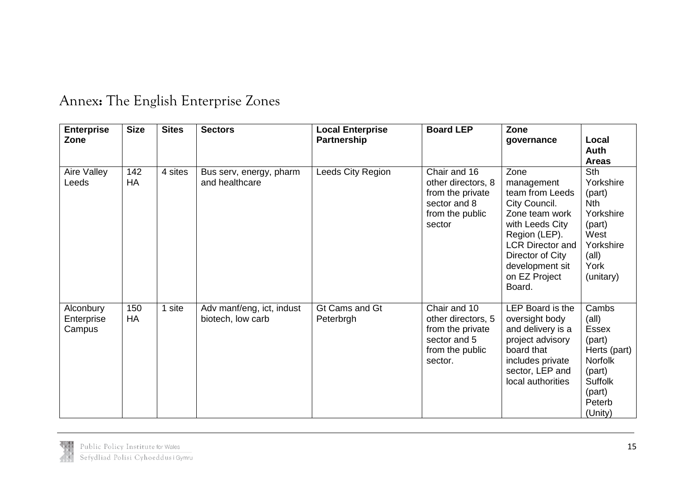<span id="page-16-0"></span>

| <b>Enterprise</b><br>Zone         | <b>Size</b>      | <b>Sites</b> | <b>Sectors</b>                                 | <b>Local Enterprise</b><br><b>Partnership</b> | <b>Board LEP</b>                                                                                     | Zone<br>governance                                                                                                                                                                                        | Local<br><b>Auth</b><br><b>Areas</b>                                                                                                    |
|-----------------------------------|------------------|--------------|------------------------------------------------|-----------------------------------------------|------------------------------------------------------------------------------------------------------|-----------------------------------------------------------------------------------------------------------------------------------------------------------------------------------------------------------|-----------------------------------------------------------------------------------------------------------------------------------------|
| Aire Valley<br>Leeds              | 142<br>HA        | 4 sites      | Bus serv, energy, pharm<br>and healthcare      | Leeds City Region                             | Chair and 16<br>other directors, 8<br>from the private<br>sector and 8<br>from the public<br>sector  | Zone<br>management<br>team from Leeds<br>City Council.<br>Zone team work<br>with Leeds City<br>Region (LEP).<br><b>LCR Director and</b><br>Director of City<br>development sit<br>on EZ Project<br>Board. | Sth<br>Yorkshire<br>(part)<br><b>Nth</b><br>Yorkshire<br>(part)<br>West<br>Yorkshire<br>(all)<br>York<br>(unitary)                      |
| Alconbury<br>Enterprise<br>Campus | 150<br><b>HA</b> | 1 site       | Adv manf/eng, ict, indust<br>biotech, low carb | Gt Cams and Gt<br>Peterbrgh                   | Chair and 10<br>other directors, 5<br>from the private<br>sector and 5<br>from the public<br>sector. | LEP Board is the<br>oversight body<br>and delivery is a<br>project advisory<br>board that<br>includes private<br>sector, LEP and<br>local authorities                                                     | Cambs<br>$\text{(all)}$<br><b>Essex</b><br>(part)<br>Herts (part)<br><b>Norfolk</b><br>(part)<br>Suffolk<br>(part)<br>Peterb<br>(Unity) |

## Annex**:** The English Enterprise Zones

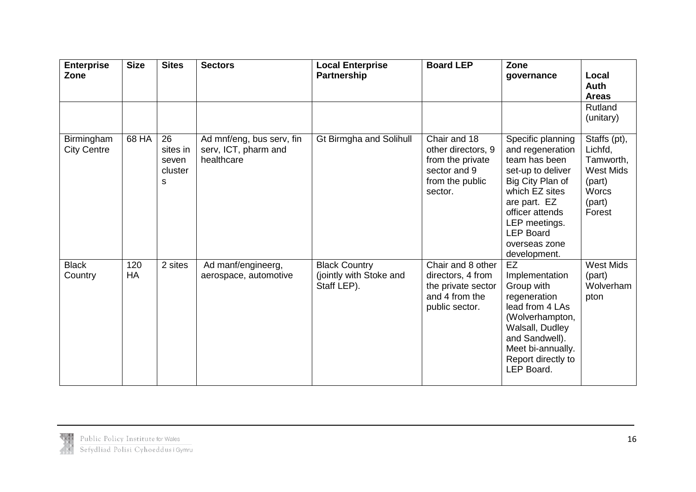| <b>Enterprise</b><br>Zone        | <b>Size</b>      | <b>Sites</b>                            | <b>Sectors</b>                                                  | <b>Local Enterprise</b><br><b>Partnership</b>                  | <b>Board LEP</b>                                                                                     | Zone<br>governance                                                                                                                                                                                                         | Local<br><b>Auth</b><br><b>Areas</b>                                                                   |
|----------------------------------|------------------|-----------------------------------------|-----------------------------------------------------------------|----------------------------------------------------------------|------------------------------------------------------------------------------------------------------|----------------------------------------------------------------------------------------------------------------------------------------------------------------------------------------------------------------------------|--------------------------------------------------------------------------------------------------------|
|                                  |                  |                                         |                                                                 |                                                                |                                                                                                      |                                                                                                                                                                                                                            | Rutland<br>(unitary)                                                                                   |
| Birmingham<br><b>City Centre</b> | 68 HA            | 26<br>sites in<br>seven<br>cluster<br>s | Ad mnf/eng, bus serv, fin<br>serv, ICT, pharm and<br>healthcare | <b>Gt Birmgha and Solihull</b>                                 | Chair and 18<br>other directors, 9<br>from the private<br>sector and 9<br>from the public<br>sector. | Specific planning<br>and regeneration<br>team has been<br>set-up to deliver<br>Big City Plan of<br>which EZ sites<br>are part. EZ<br>officer attends<br>LEP meetings.<br><b>LEP Board</b><br>overseas zone<br>development. | Staffs (pt),<br>Lichfd,<br>Tamworth,<br><b>West Mids</b><br>(part)<br><b>Worcs</b><br>(part)<br>Forest |
| <b>Black</b><br>Country          | 120<br><b>HA</b> | 2 sites                                 | Ad manf/engineerg,<br>aerospace, automotive                     | <b>Black Country</b><br>(jointly with Stoke and<br>Staff LEP). | Chair and 8 other<br>directors, 4 from<br>the private sector<br>and 4 from the<br>public sector.     | EZ<br>Implementation<br>Group with<br>regeneration<br>lead from 4 LAs<br>(Wolverhampton,<br>Walsall, Dudley<br>and Sandwell).<br>Meet bi-annually.<br>Report directly to<br>LEP Board.                                     | <b>West Mids</b><br>(part)<br>Wolverham<br>pton                                                        |

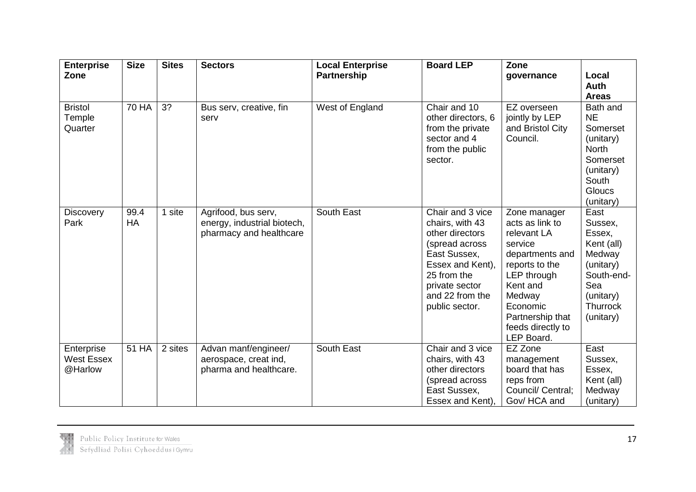| <b>Enterprise</b><br>Zone                  | <b>Size</b>  | <b>Sites</b> | <b>Sectors</b>                                                                | <b>Local Enterprise</b><br>Partnership | <b>Board LEP</b>                                                                                                                                                                   | Zone<br>governance                                                                                                                                                                                     | Local<br><b>Auth</b><br><b>Areas</b>                                                                                             |
|--------------------------------------------|--------------|--------------|-------------------------------------------------------------------------------|----------------------------------------|------------------------------------------------------------------------------------------------------------------------------------------------------------------------------------|--------------------------------------------------------------------------------------------------------------------------------------------------------------------------------------------------------|----------------------------------------------------------------------------------------------------------------------------------|
| <b>Bristol</b><br>Temple<br>Quarter        | <b>70 HA</b> | 3?           | Bus serv, creative, fin<br>serv                                               | West of England                        | Chair and 10<br>other directors, 6<br>from the private<br>sector and 4<br>from the public<br>sector.                                                                               | EZ overseen<br>jointly by LEP<br>and Bristol City<br>Council.                                                                                                                                          | Bath and<br><b>NE</b><br>Somerset<br>(unitary)<br><b>North</b><br>Somerset<br>(unitary)<br>South<br><b>Gloucs</b><br>(unitary)   |
| Discovery<br>Park                          | 99.4<br>HA   | 1 site       | Agrifood, bus serv,<br>energy, industrial biotech,<br>pharmacy and healthcare | South East                             | Chair and 3 vice<br>chairs, with 43<br>other directors<br>(spread across<br>East Sussex,<br>Essex and Kent),<br>25 from the<br>private sector<br>and 22 from the<br>public sector. | Zone manager<br>acts as link to<br>relevant LA<br>service<br>departments and<br>reports to the<br>LEP through<br>Kent and<br>Medway<br>Economic<br>Partnership that<br>feeds directly to<br>LEP Board. | East<br>Sussex,<br>Essex,<br>Kent (all)<br>Medway<br>(unitary)<br>South-end-<br>Sea<br>(unitary)<br><b>Thurrock</b><br>(unitary) |
| Enterprise<br><b>West Essex</b><br>@Harlow | 51 HA        | 2 sites      | Advan manf/engineer/<br>aerospace, creat ind,<br>pharma and healthcare.       | South East                             | Chair and 3 vice<br>chairs, with 43<br>other directors<br>(spread across<br>East Sussex,<br>Essex and Kent),                                                                       | EZ Zone<br>management<br>board that has<br>reps from<br>Council/ Central;<br>Gov/HCA and                                                                                                               | East<br>Sussex,<br>Essex,<br>Kent (all)<br>Medway<br>(unitary)                                                                   |

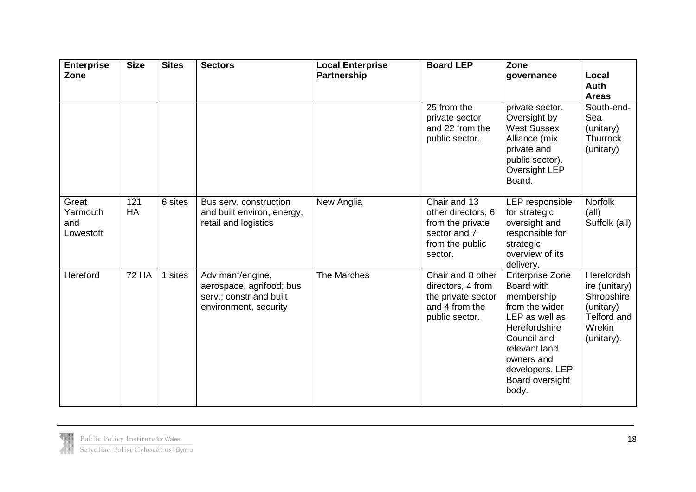| <b>Enterprise</b><br>Zone             | <b>Size</b>  | <b>Sites</b> | <b>Sectors</b>                                                                                   | <b>Local Enterprise</b><br><b>Partnership</b> | <b>Board LEP</b>                                                                                     | Zone<br>governance                                                                                                                                                                                   | Local<br><b>Auth</b><br><b>Areas</b>                                                                 |
|---------------------------------------|--------------|--------------|--------------------------------------------------------------------------------------------------|-----------------------------------------------|------------------------------------------------------------------------------------------------------|------------------------------------------------------------------------------------------------------------------------------------------------------------------------------------------------------|------------------------------------------------------------------------------------------------------|
|                                       |              |              |                                                                                                  |                                               | 25 from the<br>private sector<br>and 22 from the<br>public sector.                                   | private sector.<br>Oversight by<br><b>West Sussex</b><br>Alliance (mix<br>private and<br>public sector).<br>Oversight LEP<br>Board.                                                                  | South-end-<br>Sea<br>(unitary)<br><b>Thurrock</b><br>(unitary)                                       |
| Great<br>Yarmouth<br>and<br>Lowestoft | 121<br>HA    | 6 sites      | Bus serv, construction<br>and built environ, energy,<br>retail and logistics                     | New Anglia                                    | Chair and 13<br>other directors, 6<br>from the private<br>sector and 7<br>from the public<br>sector. | LEP responsible<br>for strategic<br>oversight and<br>responsible for<br>strategic<br>overview of its<br>delivery.                                                                                    | Norfolk<br>(all)<br>Suffolk (all)                                                                    |
| Hereford                              | <b>72 HA</b> | 1 sites      | Adv manf/engine,<br>aerospace, agrifood; bus<br>serv,; constr and built<br>environment, security | The Marches                                   | Chair and 8 other<br>directors, 4 from<br>the private sector<br>and 4 from the<br>public sector.     | <b>Enterprise Zone</b><br>Board with<br>membership<br>from the wider<br>LEP as well as<br>Herefordshire<br>Council and<br>relevant land<br>owners and<br>developers. LEP<br>Board oversight<br>body. | Herefordsh<br>ire (unitary)<br>Shropshire<br>(unitary)<br><b>Telford and</b><br>Wrekin<br>(unitary). |

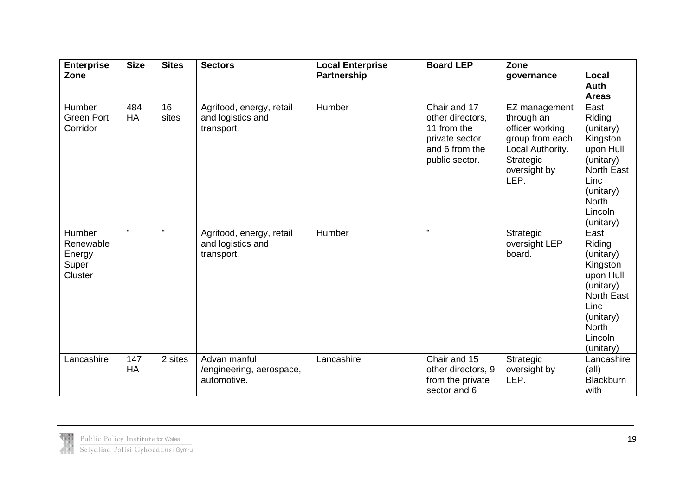| <b>Enterprise</b><br>Zone                         | <b>Size</b>        | <b>Sites</b> | <b>Sectors</b>                                              | <b>Local Enterprise</b><br><b>Partnership</b> | <b>Board LEP</b>                                                                                      | Zone<br>governance                                                                                                         | Local                                                                                                                                               |
|---------------------------------------------------|--------------------|--------------|-------------------------------------------------------------|-----------------------------------------------|-------------------------------------------------------------------------------------------------------|----------------------------------------------------------------------------------------------------------------------------|-----------------------------------------------------------------------------------------------------------------------------------------------------|
|                                                   |                    |              |                                                             |                                               |                                                                                                       |                                                                                                                            | <b>Auth</b><br><b>Areas</b>                                                                                                                         |
| Humber<br><b>Green Port</b><br>Corridor           | 484<br>HA          | 16<br>sites  | Agrifood, energy, retail<br>and logistics and<br>transport. | Humber                                        | Chair and 17<br>other directors,<br>11 from the<br>private sector<br>and 6 from the<br>public sector. | EZ management<br>through an<br>officer working<br>group from each<br>Local Authority.<br>Strategic<br>oversight by<br>LEP. | East<br>Riding<br>(unitary)<br>Kingston<br>upon Hull<br>(unitary)<br><b>North East</b><br>Linc<br>(unitary)<br><b>North</b><br>Lincoln<br>(unitary) |
| Humber<br>Renewable<br>Energy<br>Super<br>Cluster | $\epsilon\epsilon$ | $\epsilon$   | Agrifood, energy, retail<br>and logistics and<br>transport. | Humber                                        | $\epsilon\epsilon$                                                                                    | Strategic<br>oversight LEP<br>board.                                                                                       | East<br>Riding<br>(unitary)<br>Kingston<br>upon Hull<br>(unitary)<br><b>North East</b><br>Linc<br>(unitary)<br><b>North</b><br>Lincoln<br>(unitary) |
| Lancashire                                        | 147<br>HA          | 2 sites      | Advan manful<br>/engineering, aerospace,<br>automotive.     | Lancashire                                    | Chair and 15<br>other directors, 9<br>from the private<br>sector and 6                                | Strategic<br>oversight by<br>LEP.                                                                                          | Lancashire<br>(all)<br><b>Blackburn</b><br>with                                                                                                     |

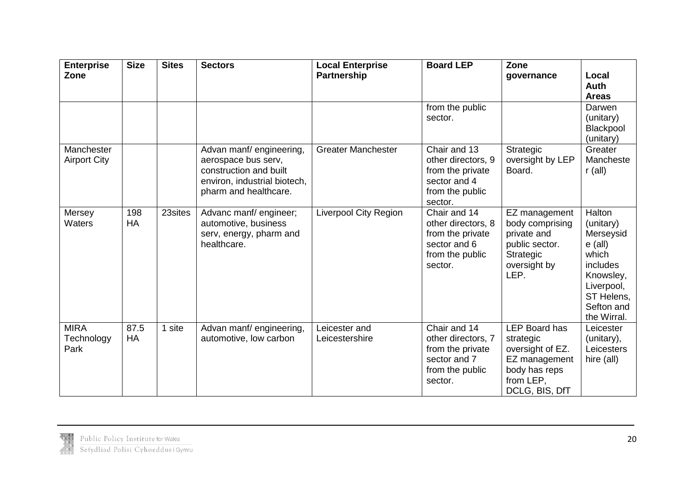| <b>Enterprise</b><br>Zone         | <b>Size</b>      | <b>Sites</b> | <b>Sectors</b>                                                                                                                     | <b>Local Enterprise</b><br><b>Partnership</b> | <b>Board LEP</b>                                                                                     | Zone<br>governance                                                                                                     | Local<br><b>Auth</b><br><b>Areas</b>                                                                                                            |
|-----------------------------------|------------------|--------------|------------------------------------------------------------------------------------------------------------------------------------|-----------------------------------------------|------------------------------------------------------------------------------------------------------|------------------------------------------------------------------------------------------------------------------------|-------------------------------------------------------------------------------------------------------------------------------------------------|
|                                   |                  |              |                                                                                                                                    |                                               | from the public<br>sector.                                                                           |                                                                                                                        | Darwen<br>(unitary)<br>Blackpool<br>(unitary)                                                                                                   |
| Manchester<br><b>Airport City</b> |                  |              | Advan manf/ engineering,<br>aerospace bus serv,<br>construction and built<br>environ, industrial biotech,<br>pharm and healthcare. | <b>Greater Manchester</b>                     | Chair and 13<br>other directors, 9<br>from the private<br>sector and 4<br>from the public<br>sector. | Strategic<br>oversight by LEP<br>Board.                                                                                | Greater<br>Mancheste<br>$r$ (all)                                                                                                               |
| Mersey<br>Waters                  | 198<br><b>HA</b> | 23sites      | Advanc manf/engineer;<br>automotive, business<br>serv, energy, pharm and<br>healthcare.                                            | Liverpool City Region                         | Chair and 14<br>other directors, 8<br>from the private<br>sector and 6<br>from the public<br>sector. | EZ management<br>body comprising<br>private and<br>public sector.<br>Strategic<br>oversight by<br>LEP.                 | Halton<br>(unitary)<br>Merseysid<br>$e$ (all)<br>which<br><i>includes</i><br>Knowsley,<br>Liverpool,<br>ST Helens,<br>Sefton and<br>the Wirral. |
| <b>MIRA</b><br>Technology<br>Park | 87.5<br>HA       | 1 site       | Advan manf/ engineering,<br>automotive, low carbon                                                                                 | Leicester and<br>Leicestershire               | Chair and 14<br>other directors, 7<br>from the private<br>sector and 7<br>from the public<br>sector. | <b>LEP Board has</b><br>strategic<br>oversight of EZ.<br>EZ management<br>body has reps<br>from LEP,<br>DCLG, BIS, DfT | Leicester<br>(unitary),<br>Leicesters<br>hire (all)                                                                                             |

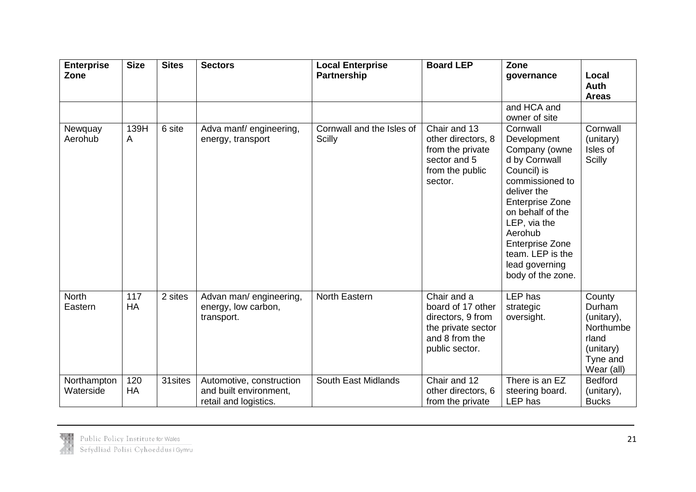| <b>Enterprise</b><br>Zone | <b>Size</b> | <b>Sites</b> | <b>Sectors</b>                                                              | <b>Local Enterprise</b><br><b>Partnership</b> | <b>Board LEP</b>                                                                                                | Zone<br>governance                                                                                                                                                                                                                                                       | Local<br><b>Auth</b>                                                                        |
|---------------------------|-------------|--------------|-----------------------------------------------------------------------------|-----------------------------------------------|-----------------------------------------------------------------------------------------------------------------|--------------------------------------------------------------------------------------------------------------------------------------------------------------------------------------------------------------------------------------------------------------------------|---------------------------------------------------------------------------------------------|
|                           |             |              |                                                                             |                                               |                                                                                                                 | and HCA and<br>owner of site                                                                                                                                                                                                                                             | <b>Areas</b>                                                                                |
| Newquay<br>Aerohub        | 139H<br>A   | 6 site       | Adva manf/engineering,<br>energy, transport                                 | Cornwall and the Isles of<br><b>Scilly</b>    | Chair and 13<br>other directors, 8<br>from the private<br>sector and 5<br>from the public<br>sector.            | Cornwall<br>Development<br>Company (owne<br>d by Cornwall<br>Council) is<br>commissioned to<br>deliver the<br><b>Enterprise Zone</b><br>on behalf of the<br>LEP, via the<br>Aerohub<br><b>Enterprise Zone</b><br>team. LEP is the<br>lead governing<br>body of the zone. | Cornwall<br>(unitary)<br>Isles of<br><b>Scilly</b>                                          |
| <b>North</b><br>Eastern   | 117<br>HA   | 2 sites      | Advan man/ engineering,<br>energy, low carbon,<br>transport.                | North Eastern                                 | Chair and a<br>board of 17 other<br>directors, 9 from<br>the private sector<br>and 8 from the<br>public sector. | LEP has<br>strategic<br>oversight.                                                                                                                                                                                                                                       | County<br>Durham<br>(unitary),<br>Northumbe<br>rland<br>(unitary)<br>Tyne and<br>Wear (all) |
| Northampton<br>Waterside  | 120<br>HA   | 31 sites     | Automotive, construction<br>and built environment,<br>retail and logistics. | South East Midlands                           | Chair and 12<br>other directors, 6<br>from the private                                                          | There is an EZ<br>steering board.<br>LEP has                                                                                                                                                                                                                             | <b>Bedford</b><br>(unitary),<br><b>Bucks</b>                                                |

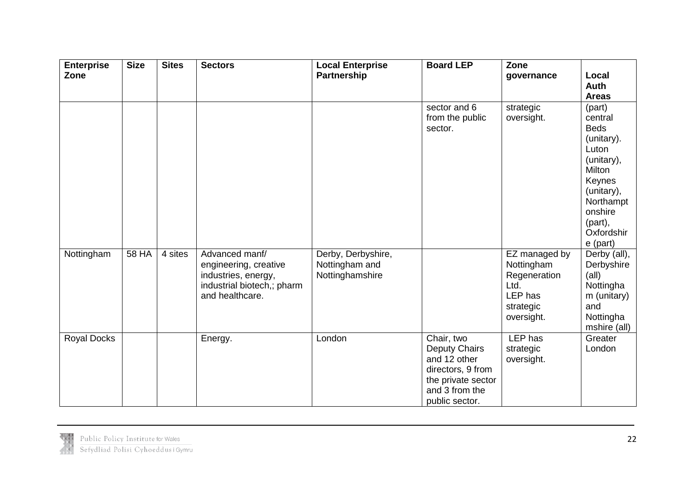| <b>Enterprise</b><br>Zone | <b>Size</b> | <b>Sites</b> | <b>Sectors</b>                                                                                                  | Local Enterprise<br>Partnership                         | <b>Board LEP</b>                                                                                                                  | Zone<br>governance                                                                        | Local<br>Auth<br><b>Areas</b>                                                                                                                                          |
|---------------------------|-------------|--------------|-----------------------------------------------------------------------------------------------------------------|---------------------------------------------------------|-----------------------------------------------------------------------------------------------------------------------------------|-------------------------------------------------------------------------------------------|------------------------------------------------------------------------------------------------------------------------------------------------------------------------|
|                           |             |              |                                                                                                                 |                                                         | sector and 6<br>from the public<br>sector.                                                                                        | strategic<br>oversight.                                                                   | (part)<br>central<br><b>Beds</b><br>(unitary).<br>Luton<br>(unitary),<br>Milton<br>Keynes<br>(unitary),<br>Northampt<br>onshire<br>(part),<br>Oxfordshir<br>$e$ (part) |
| Nottingham                | 58 HA       | 4 sites      | Advanced manf/<br>engineering, creative<br>industries, energy,<br>industrial biotech,; pharm<br>and healthcare. | Derby, Derbyshire,<br>Nottingham and<br>Nottinghamshire |                                                                                                                                   | EZ managed by<br>Nottingham<br>Regeneration<br>Ltd.<br>LEP has<br>strategic<br>oversight. | Derby (all),<br>Derbyshire<br>$\text{(all)}$<br>Nottingha<br>m (unitary)<br>and<br>Nottingha<br>mshire (all)                                                           |
| <b>Royal Docks</b>        |             |              | Energy.                                                                                                         | London                                                  | Chair, two<br><b>Deputy Chairs</b><br>and 12 other<br>directors, 9 from<br>the private sector<br>and 3 from the<br>public sector. | <b>LEP</b> has<br>strategic<br>oversight.                                                 | Greater<br>London                                                                                                                                                      |

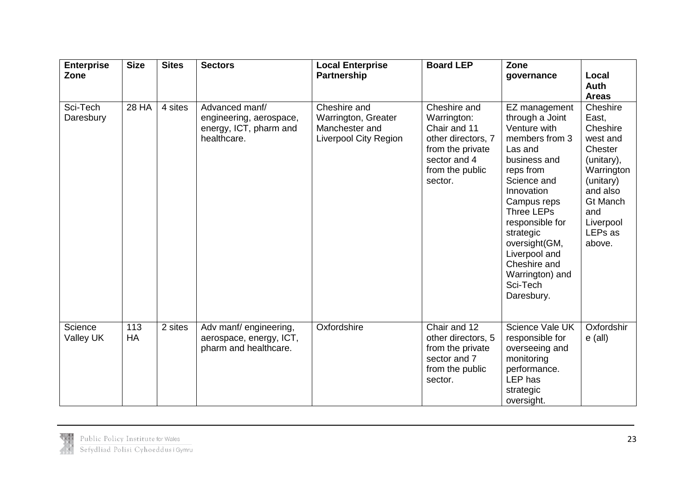| <b>Enterprise</b><br>Zone | <b>Size</b>  | <b>Sites</b> | <b>Sectors</b>                                                                     | <b>Local Enterprise</b><br><b>Partnership</b>                                  | <b>Board LEP</b>                                                                                                                    | Zone<br>governance                                                                                                                                                                                                                                                                                         | Local<br>Auth                                                                                                                                                         |
|---------------------------|--------------|--------------|------------------------------------------------------------------------------------|--------------------------------------------------------------------------------|-------------------------------------------------------------------------------------------------------------------------------------|------------------------------------------------------------------------------------------------------------------------------------------------------------------------------------------------------------------------------------------------------------------------------------------------------------|-----------------------------------------------------------------------------------------------------------------------------------------------------------------------|
|                           |              |              |                                                                                    |                                                                                |                                                                                                                                     |                                                                                                                                                                                                                                                                                                            | <b>Areas</b>                                                                                                                                                          |
| Sci-Tech<br>Daresbury     | <b>28 HA</b> | 4 sites      | Advanced manf/<br>engineering, aerospace,<br>energy, ICT, pharm and<br>healthcare. | Cheshire and<br>Warrington, Greater<br>Manchester and<br>Liverpool City Region | Cheshire and<br>Warrington:<br>Chair and 11<br>other directors, 7<br>from the private<br>sector and 4<br>from the public<br>sector. | EZ management<br>through a Joint<br>Venture with<br>members from 3<br>Las and<br>business and<br>reps from<br>Science and<br>Innovation<br>Campus reps<br><b>Three LEPs</b><br>responsible for<br>strategic<br>oversight(GM,<br>Liverpool and<br>Cheshire and<br>Warrington) and<br>Sci-Tech<br>Daresbury. | Cheshire<br>East,<br>Cheshire<br>west and<br>Chester<br>(unitary),<br>Warrington<br>(unitary)<br>and also<br><b>Gt Manch</b><br>and<br>Liverpool<br>LEPs as<br>above. |
| Science<br>Valley UK      | 113<br>HA    | 2 sites      | Adv manf/ engineering,<br>aerospace, energy, ICT,<br>pharm and healthcare.         | Oxfordshire                                                                    | Chair and 12<br>other directors, 5<br>from the private<br>sector and 7<br>from the public<br>sector.                                | Science Vale UK<br>responsible for<br>overseeing and<br>monitoring<br>performance.<br>LEP has<br>strategic<br>oversight.                                                                                                                                                                                   | Oxfordshir<br>$e$ (all)                                                                                                                                               |

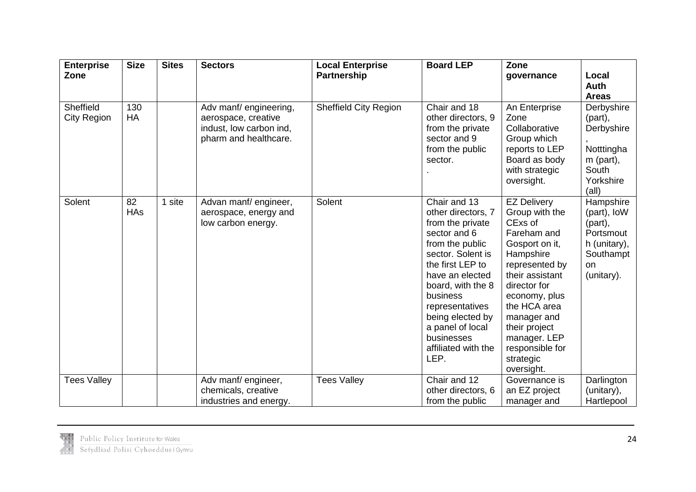| <b>Enterprise</b><br>Zone       | <b>Size</b>      | <b>Sites</b> | <b>Sectors</b>                                                                                   | <b>Local Enterprise</b><br><b>Partnership</b> | <b>Board LEP</b>                                                                                                                                                                                                                                                                               | Zone<br>governance                                                                                                                                                                                                                                                                | Local<br>Auth                                                                                     |
|---------------------------------|------------------|--------------|--------------------------------------------------------------------------------------------------|-----------------------------------------------|------------------------------------------------------------------------------------------------------------------------------------------------------------------------------------------------------------------------------------------------------------------------------------------------|-----------------------------------------------------------------------------------------------------------------------------------------------------------------------------------------------------------------------------------------------------------------------------------|---------------------------------------------------------------------------------------------------|
|                                 |                  |              |                                                                                                  |                                               |                                                                                                                                                                                                                                                                                                |                                                                                                                                                                                                                                                                                   | <b>Areas</b>                                                                                      |
| Sheffield<br><b>City Region</b> | 130<br><b>HA</b> |              | Adv manf/engineering,<br>aerospace, creative<br>indust, low carbon ind,<br>pharm and healthcare. | <b>Sheffield City Region</b>                  | Chair and 18<br>other directors, 9<br>from the private<br>sector and 9<br>from the public<br>sector.                                                                                                                                                                                           | An Enterprise<br>Zone<br>Collaborative<br>Group which<br>reports to LEP<br>Board as body<br>with strategic<br>oversight.                                                                                                                                                          | Derbyshire<br>(part),<br>Derbyshire<br>Notttingha<br>$m$ (part),<br>South<br>Yorkshire<br>(all)   |
| Solent                          | 82<br><b>HAs</b> | 1 site       | Advan manf/engineer,<br>aerospace, energy and<br>low carbon energy.                              | Solent                                        | Chair and 13<br>other directors, 7<br>from the private<br>sector and 6<br>from the public<br>sector. Solent is<br>the first LEP to<br>have an elected<br>board, with the 8<br>business<br>representatives<br>being elected by<br>a panel of local<br>businesses<br>affiliated with the<br>LEP. | <b>EZ Delivery</b><br>Group with the<br>CExs of<br>Fareham and<br>Gosport on it,<br>Hampshire<br>represented by<br>their assistant<br>director for<br>economy, plus<br>the HCA area<br>manager and<br>their project<br>manager. LEP<br>responsible for<br>strategic<br>oversight. | Hampshire<br>(part), IoW<br>(part),<br>Portsmout<br>h (unitary),<br>Southampt<br>on<br>(unitary). |
| <b>Tees Valley</b>              |                  |              | Adv manf/ engineer,                                                                              | <b>Tees Valley</b>                            | Chair and 12                                                                                                                                                                                                                                                                                   | Governance is                                                                                                                                                                                                                                                                     | Darlington                                                                                        |
|                                 |                  |              | chemicals, creative                                                                              |                                               | other directors, 6                                                                                                                                                                                                                                                                             | an EZ project                                                                                                                                                                                                                                                                     | (unitary),                                                                                        |
|                                 |                  |              | industries and energy.                                                                           |                                               | from the public                                                                                                                                                                                                                                                                                | manager and                                                                                                                                                                                                                                                                       | Hartlepool                                                                                        |

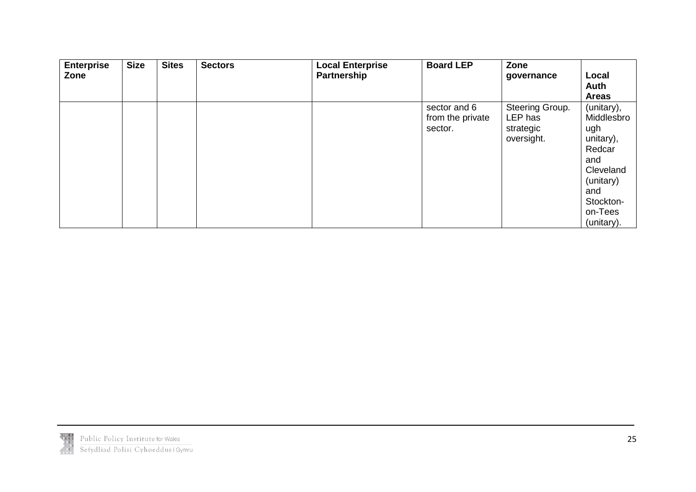| <b>Enterprise</b> | <b>Size</b> | <b>Sites</b> | <b>Sectors</b> | <b>Local Enterprise</b> | <b>Board LEP</b> | Zone            |              |
|-------------------|-------------|--------------|----------------|-------------------------|------------------|-----------------|--------------|
| Zone              |             |              |                | Partnership             |                  | governance      | Local        |
|                   |             |              |                |                         |                  |                 | Auth         |
|                   |             |              |                |                         |                  |                 | <b>Areas</b> |
|                   |             |              |                |                         | sector and 6     | Steering Group. | (unitary),   |
|                   |             |              |                |                         | from the private | LEP has         | Middlesbro   |
|                   |             |              |                |                         | sector.          | strategic       | ugh          |
|                   |             |              |                |                         |                  | oversight.      | unitary),    |
|                   |             |              |                |                         |                  |                 | Redcar       |
|                   |             |              |                |                         |                  |                 | and          |
|                   |             |              |                |                         |                  |                 | Cleveland    |
|                   |             |              |                |                         |                  |                 | (unitary)    |
|                   |             |              |                |                         |                  |                 | and          |
|                   |             |              |                |                         |                  |                 | Stockton-    |
|                   |             |              |                |                         |                  |                 | on-Tees      |
|                   |             |              |                |                         |                  |                 | (unitary).   |

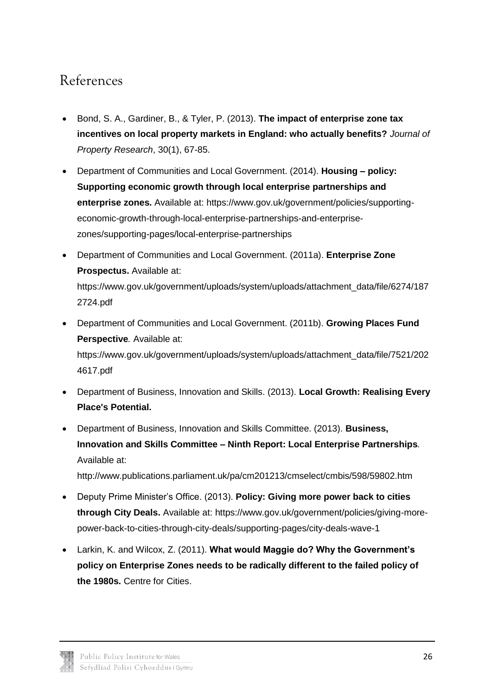### <span id="page-27-0"></span>References

- Bond, S. A., Gardiner, B., & Tyler, P. (2013). **The impact of enterprise zone tax incentives on local property markets in England: who actually benefits?** *Journal of Property Research*, 30(1), 67-85.
- Department of Communities and Local Government. (2014). **Housing – policy: Supporting economic growth through local enterprise partnerships and enterprise zones.** Available at: https://www.gov.uk/government/policies/supportingeconomic-growth-through-local-enterprise-partnerships-and-enterprisezones/supporting-pages/local-enterprise-partnerships
- Department of Communities and Local Government. (2011a). **Enterprise Zone Prospectus.** Available at: https://www.gov.uk/government/uploads/system/uploads/attachment\_data/file/6274/187 2724.pdf
- Department of Communities and Local Government. (2011b). **Growing Places Fund Perspective***.* Available at: https://www.gov.uk/government/uploads/system/uploads/attachment\_data/file/7521/202 4617.pdf
- Department of Business, Innovation and Skills. (2013). **[Local Growth: Realising Every](https://www.gov.uk/government/uploads/system/uploads/attachment_data/file/32076/cm7961-local-growth-white-paper.pdf)  [Place's Potential.](https://www.gov.uk/government/uploads/system/uploads/attachment_data/file/32076/cm7961-local-growth-white-paper.pdf)**
- Department of Business, Innovation and Skills Committee. (2013). **Business, Innovation and Skills Committee – Ninth Report: Local Enterprise Partnerships***.* Available at:

http://www.publications.parliament.uk/pa/cm201213/cmselect/cmbis/598/59802.htm

- Deputy Prime Minister's Office. (2013). **Policy: Giving more power back to cities through City Deals.** Available at: https://www.gov.uk/government/policies/giving-morepower-back-to-cities-through-city-deals/supporting-pages/city-deals-wave-1
- Larkin, K. and Wilcox, Z. (2011). **What would Maggie do? Why the Government's policy on Enterprise Zones needs to be radically different to the failed policy of the 1980s.** Centre for Cities.

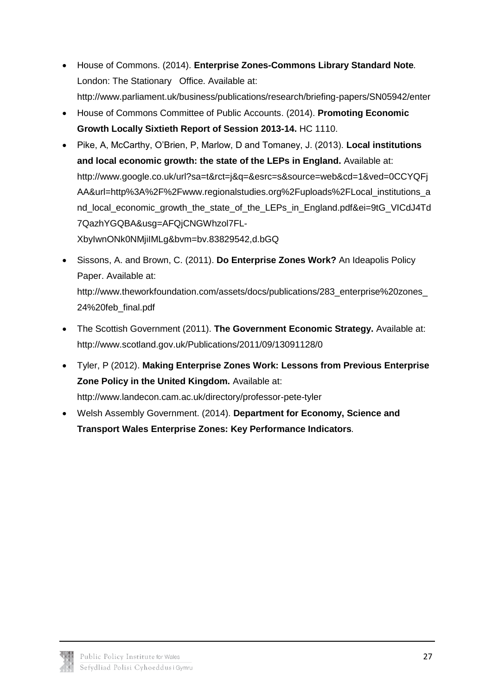- House of Commons. (2014). **Enterprise Zones-Commons Library Standard Note***.* London: The Stationary Office. Available at: <http://www.parliament.uk/business/publications/research/briefing-papers/SN05942/enter>
- House of Commons Committee of Public Accounts. (2014). **Promoting Economic Growth Locally Sixtieth Report of Session 2013-14.** HC 1110.
- Pike, A, McCarthy, O'Brien, P, Marlow, D and Tomaney, J. (2013). **Local institutions and local economic growth: the state of the LEPs in England.** Available at: http://www.google.co.uk/url?sa=t&rct=j&q=&esrc=s&source=web&cd=1&ved=0CCYQFj AA&url=http%3A%2F%2Fwww.regionalstudies.org%2Fuploads%2FLocal\_institutions\_a nd\_local\_economic\_growth\_the\_state\_of\_the\_LEPs\_in\_England.pdf&ei=9tG\_VICdJ4Td 7QazhYGQBA&usg=AFQjCNGWhzol7FL-XbyIwnONk0NMjiIMLg&bvm=bv.83829542,d.bGQ
- Sissons, A. and Brown, C. (2011). **Do Enterprise Zones Work?** An Ideapolis Policy Paper. Available at: http://www.theworkfoundation.com/assets/docs/publications/283\_enterprise%20zones\_ 24%20feb\_final.pdf
- The Scottish Government (2011). **The Government Economic Strategy.** Available at: <http://www.scotland.gov.uk/Publications/2011/09/13091128/0>
- Tyler, P (2012). **Making Enterprise Zones Work: Lessons from Previous Enterprise Zone Policy in the United Kingdom.** Available at: <http://www.landecon.cam.ac.uk/directory/professor-pete-tyler>
- Welsh Assembly Government. (2014). **Department for Economy, Science and Transport Wales Enterprise Zones: Key Performance Indicators***.*